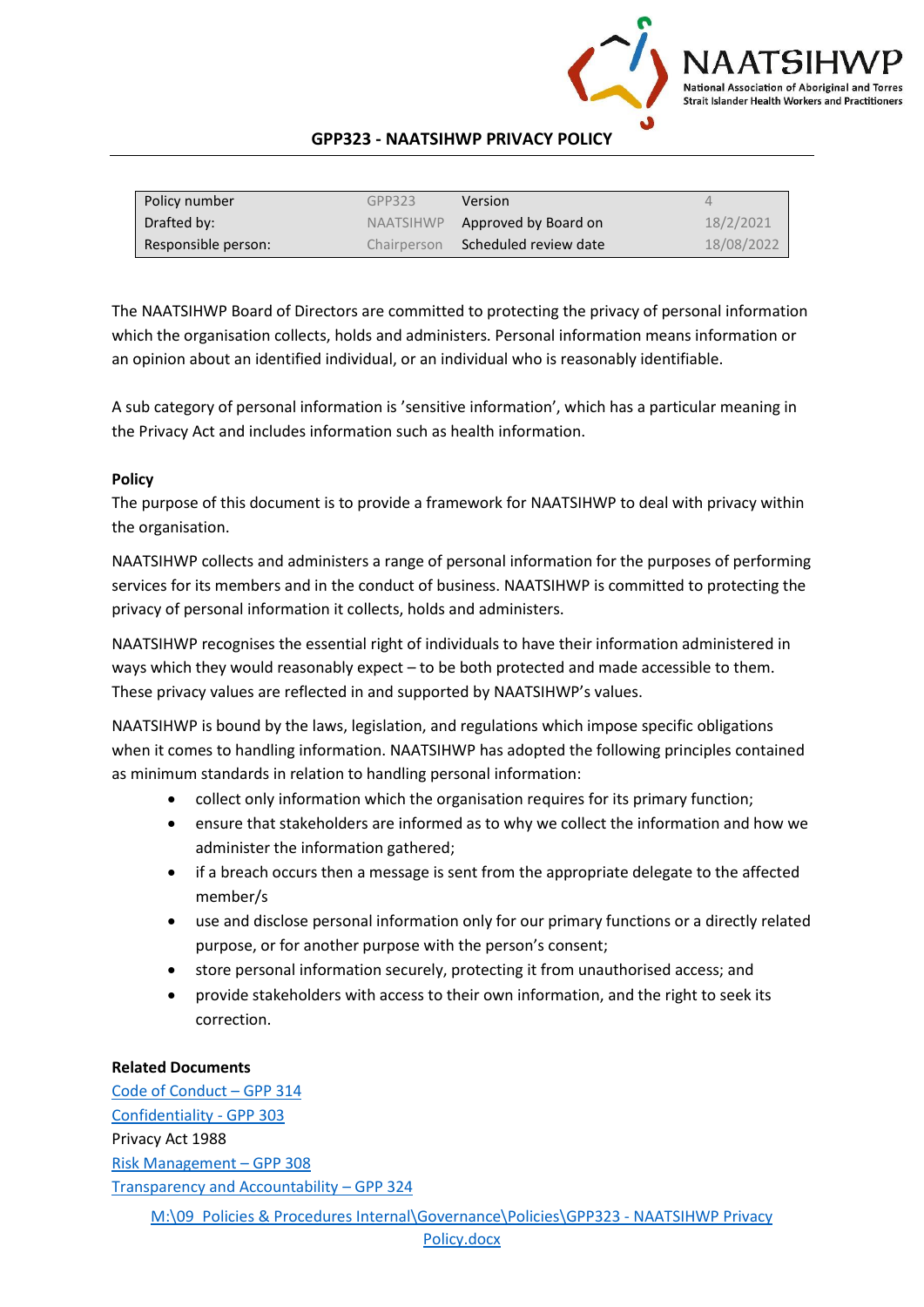

## **GPP323 - NAATSIHWP PRIVACY POLICY**

| Policy number       | GPP323    | <b>Version</b>                    | 4          |
|---------------------|-----------|-----------------------------------|------------|
| Drafted by:         | NAATSIHWP | Approved by Board on              | 18/2/2021  |
| Responsible person: |           | Chairperson Scheduled review date | 18/08/2022 |

The NAATSIHWP Board of Directors are committed to protecting the privacy of personal information which the organisation collects, holds and administers. Personal information means information or an opinion about an identified individual, or an individual who is reasonably identifiable.

A sub category of personal information is 'sensitive information', which has a particular meaning in the Privacy Act and includes information such as health information.

# **Policy**

The purpose of this document is to provide a framework for NAATSIHWP to deal with privacy within the organisation.

NAATSIHWP collects and administers a range of personal information for the purposes of performing services for its members and in the conduct of business. NAATSIHWP is committed to protecting the privacy of personal information it collects, holds and administers.

NAATSIHWP recognises the essential right of individuals to have their information administered in ways which they would reasonably expect – to be both protected and made accessible to them. These privacy values are reflected in and supported by NAATSIHWP's values.

NAATSIHWP is bound by the laws, legislation, and regulations which impose specific obligations when it comes to handling information. NAATSIHWP has adopted the following principles contained as minimum standards in relation to handling personal information:

- collect only information which the organisation requires for its primary function;
- ensure that stakeholders are informed as to why we collect the information and how we administer the information gathered;
- if a breach occurs then a message is sent from the appropriate delegate to the affected member/s
- use and disclose personal information only for our primary functions or a directly related purpose, or for another purpose with the person's consent;
- store personal information securely, protecting it from unauthorised access; and
- provide stakeholders with access to their own information, and the right to seek its correction.

#### **Related Documents**

[M:\09\\_Policies & Procedures Internal\Governance\Policies\GPP323 -](file://///SVRNAAT/Data/09_Policies%20&%20Procedures%20Internal/Governance/Policies/GPP323%20-%20NAATSIHWP%20Privacy%20Policy.docx) NAATSIHWP Privacy [Code of Conduct](GPP314%20-%20Board%20Code%20of%20Conduct.pdf) – GPP 314 [Confidentiality -](GPP303%20-%20Board%20Confidentiality.pdf) GPP 303 Privacy Act 1988 [Risk Management](GPP308%20-%20Risk%20Management.pdf) – GPP 308 [Transparency and Accountability](GPP324%20-%20Transparency%20and%20Accountability%20Policy.pdf) – GPP 324